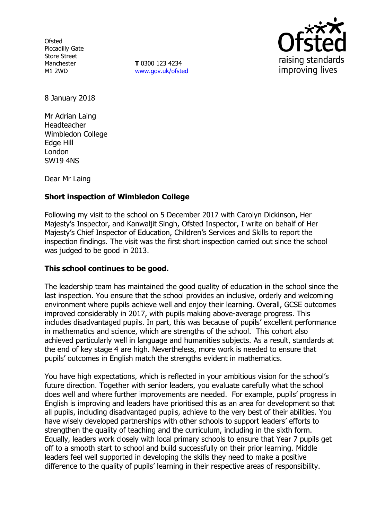**Ofsted** Piccadilly Gate Store Street Manchester M1 2WD

**T** 0300 123 4234 www.gov.uk/ofsted



8 January 2018

Mr Adrian Laing Headteacher Wimbledon College Edge Hill London SW19 4NS

Dear Mr Laing

# **Short inspection of Wimbledon College**

Following my visit to the school on 5 December 2017 with Carolyn Dickinson, Her Majesty's Inspector, and Kanwaljit Singh, Ofsted Inspector, I write on behalf of Her Majesty's Chief Inspector of Education, Children's Services and Skills to report the inspection findings. The visit was the first short inspection carried out since the school was judged to be good in 2013.

### **This school continues to be good.**

The leadership team has maintained the good quality of education in the school since the last inspection. You ensure that the school provides an inclusive, orderly and welcoming environment where pupils achieve well and enjoy their learning. Overall, GCSE outcomes improved considerably in 2017, with pupils making above-average progress. This includes disadvantaged pupils. In part, this was because of pupils' excellent performance in mathematics and science, which are strengths of the school. This cohort also achieved particularly well in language and humanities subjects. As a result, standards at the end of key stage 4 are high. Nevertheless, more work is needed to ensure that pupils' outcomes in English match the strengths evident in mathematics.

You have high expectations, which is reflected in your ambitious vision for the school's future direction. Together with senior leaders, you evaluate carefully what the school does well and where further improvements are needed. For example, pupils' progress in English is improving and leaders have prioritised this as an area for development so that all pupils, including disadvantaged pupils, achieve to the very best of their abilities. You have wisely developed partnerships with other schools to support leaders' efforts to strengthen the quality of teaching and the curriculum, including in the sixth form. Equally, leaders work closely with local primary schools to ensure that Year 7 pupils get off to a smooth start to school and build successfully on their prior learning. Middle leaders feel well supported in developing the skills they need to make a positive difference to the quality of pupils' learning in their respective areas of responsibility.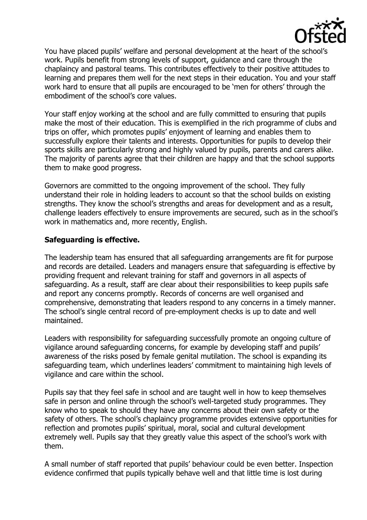

You have placed pupils' welfare and personal development at the heart of the school's work. Pupils benefit from strong levels of support, guidance and care through the chaplaincy and pastoral teams. This contributes effectively to their positive attitudes to learning and prepares them well for the next steps in their education. You and your staff work hard to ensure that all pupils are encouraged to be 'men for others' through the embodiment of the school's core values.

Your staff enjoy working at the school and are fully committed to ensuring that pupils make the most of their education. This is exemplified in the rich programme of clubs and trips on offer, which promotes pupils' enjoyment of learning and enables them to successfully explore their talents and interests. Opportunities for pupils to develop their sports skills are particularly strong and highly valued by pupils, parents and carers alike. The majority of parents agree that their children are happy and that the school supports them to make good progress.

Governors are committed to the ongoing improvement of the school. They fully understand their role in holding leaders to account so that the school builds on existing strengths. They know the school's strengths and areas for development and as a result, challenge leaders effectively to ensure improvements are secured, such as in the school's work in mathematics and, more recently, English.

## **Safeguarding is effective.**

The leadership team has ensured that all safeguarding arrangements are fit for purpose and records are detailed. Leaders and managers ensure that safeguarding is effective by providing frequent and relevant training for staff and governors in all aspects of safeguarding. As a result, staff are clear about their responsibilities to keep pupils safe and report any concerns promptly. Records of concerns are well organised and comprehensive, demonstrating that leaders respond to any concerns in a timely manner. The school's single central record of pre-employment checks is up to date and well maintained.

Leaders with responsibility for safeguarding successfully promote an ongoing culture of vigilance around safeguarding concerns, for example by developing staff and pupils' awareness of the risks posed by female genital mutilation. The school is expanding its safeguarding team, which underlines leaders' commitment to maintaining high levels of vigilance and care within the school.

Pupils say that they feel safe in school and are taught well in how to keep themselves safe in person and online through the school's well-targeted study programmes. They know who to speak to should they have any concerns about their own safety or the safety of others. The school's chaplaincy programme provides extensive opportunities for reflection and promotes pupils' spiritual, moral, social and cultural development extremely well. Pupils say that they greatly value this aspect of the school's work with them.

A small number of staff reported that pupils' behaviour could be even better. Inspection evidence confirmed that pupils typically behave well and that little time is lost during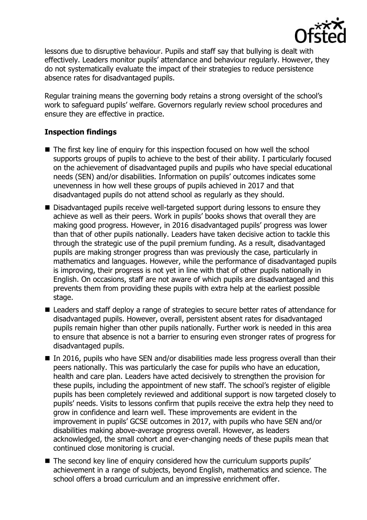

lessons due to disruptive behaviour. Pupils and staff say that bullying is dealt with effectively. Leaders monitor pupils' attendance and behaviour regularly. However, they do not systematically evaluate the impact of their strategies to reduce persistence absence rates for disadvantaged pupils.

Regular training means the governing body retains a strong oversight of the school's work to safeguard pupils' welfare. Governors regularly review school procedures and ensure they are effective in practice.

## **Inspection findings**

- The first key line of enquiry for this inspection focused on how well the school supports groups of pupils to achieve to the best of their ability. I particularly focused on the achievement of disadvantaged pupils and pupils who have special educational needs (SEN) and/or disabilities. Information on pupils' outcomes indicates some unevenness in how well these groups of pupils achieved in 2017 and that disadvantaged pupils do not attend school as regularly as they should.
- Disadvantaged pupils receive well-targeted support during lessons to ensure they achieve as well as their peers. Work in pupils' books shows that overall they are making good progress. However, in 2016 disadvantaged pupils' progress was lower than that of other pupils nationally. Leaders have taken decisive action to tackle this through the strategic use of the pupil premium funding. As a result, disadvantaged pupils are making stronger progress than was previously the case, particularly in mathematics and languages. However, while the performance of disadvantaged pupils is improving, their progress is not yet in line with that of other pupils nationally in English. On occasions, staff are not aware of which pupils are disadvantaged and this prevents them from providing these pupils with extra help at the earliest possible stage.
- Leaders and staff deploy a range of strategies to secure better rates of attendance for disadvantaged pupils. However, overall, persistent absent rates for disadvantaged pupils remain higher than other pupils nationally. Further work is needed in this area to ensure that absence is not a barrier to ensuring even stronger rates of progress for disadvantaged pupils.
- In 2016, pupils who have SEN and/or disabilities made less progress overall than their peers nationally. This was particularly the case for pupils who have an education, health and care plan. Leaders have acted decisively to strengthen the provision for these pupils, including the appointment of new staff. The school's register of eligible pupils has been completely reviewed and additional support is now targeted closely to pupils' needs. Visits to lessons confirm that pupils receive the extra help they need to grow in confidence and learn well. These improvements are evident in the improvement in pupils' GCSE outcomes in 2017, with pupils who have SEN and/or disabilities making above-average progress overall. However, as leaders acknowledged, the small cohort and ever-changing needs of these pupils mean that continued close monitoring is crucial.
- The second key line of enquiry considered how the curriculum supports pupils' achievement in a range of subjects, beyond English, mathematics and science. The school offers a broad curriculum and an impressive enrichment offer.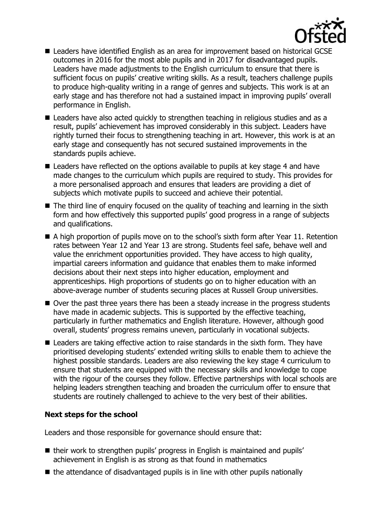

- Leaders have identified English as an area for improvement based on historical GCSE outcomes in 2016 for the most able pupils and in 2017 for disadvantaged pupils. Leaders have made adjustments to the English curriculum to ensure that there is sufficient focus on pupils' creative writing skills. As a result, teachers challenge pupils to produce high-quality writing in a range of genres and subjects. This work is at an early stage and has therefore not had a sustained impact in improving pupils' overall performance in English.
- Leaders have also acted quickly to strengthen teaching in religious studies and as a result, pupils' achievement has improved considerably in this subject. Leaders have rightly turned their focus to strengthening teaching in art. However, this work is at an early stage and consequently has not secured sustained improvements in the standards pupils achieve.
- Leaders have reflected on the options available to pupils at key stage 4 and have made changes to the curriculum which pupils are required to study. This provides for a more personalised approach and ensures that leaders are providing a diet of subjects which motivate pupils to succeed and achieve their potential.
- The third line of enquiry focused on the quality of teaching and learning in the sixth form and how effectively this supported pupils' good progress in a range of subjects and qualifications.
- A high proportion of pupils move on to the school's sixth form after Year 11. Retention rates between Year 12 and Year 13 are strong. Students feel safe, behave well and value the enrichment opportunities provided. They have access to high quality, impartial careers information and guidance that enables them to make informed decisions about their next steps into higher education, employment and apprenticeships. High proportions of students go on to higher education with an above-average number of students securing places at Russell Group universities.
- Over the past three years there has been a steady increase in the progress students have made in academic subjects. This is supported by the effective teaching, particularly in further mathematics and English literature. However, although good overall, students' progress remains uneven, particularly in vocational subjects.
- Leaders are taking effective action to raise standards in the sixth form. They have prioritised developing students' extended writing skills to enable them to achieve the highest possible standards. Leaders are also reviewing the key stage 4 curriculum to ensure that students are equipped with the necessary skills and knowledge to cope with the rigour of the courses they follow. Effective partnerships with local schools are helping leaders strengthen teaching and broaden the curriculum offer to ensure that students are routinely challenged to achieve to the very best of their abilities.

### **Next steps for the school**

Leaders and those responsible for governance should ensure that:

- their work to strengthen pupils' progress in English is maintained and pupils' achievement in English is as strong as that found in mathematics
- $\blacksquare$  the attendance of disadvantaged pupils is in line with other pupils nationally